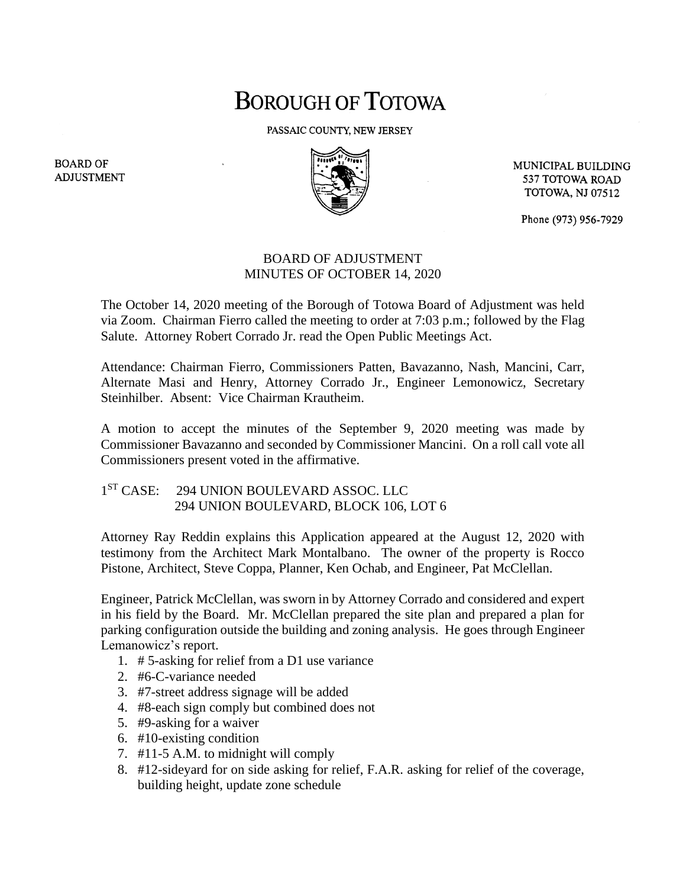## **BOROUGH OF TOTOWA**

PASSAIC COUNTY, NEW JERSEY



MUNICIPAL BUILDING 537 TOTOWA ROAD **TOTOWA, NJ 07512** 

Phone (973) 956-7929

## BOARD OF ADJUSTMENT MINUTES OF OCTOBER 14, 2020

The October 14, 2020 meeting of the Borough of Totowa Board of Adjustment was held via Zoom. Chairman Fierro called the meeting to order at 7:03 p.m.; followed by the Flag Salute. Attorney Robert Corrado Jr. read the Open Public Meetings Act.

Attendance: Chairman Fierro, Commissioners Patten, Bavazanno, Nash, Mancini, Carr, Alternate Masi and Henry, Attorney Corrado Jr., Engineer Lemonowicz, Secretary Steinhilber. Absent: Vice Chairman Krautheim.

A motion to accept the minutes of the September 9, 2020 meeting was made by Commissioner Bavazanno and seconded by Commissioner Mancini. On a roll call vote all Commissioners present voted in the affirmative.

## 1<sup>ST</sup> CASE: 294 UNION BOULEVARD ASSOC. LLC 294 UNION BOULEVARD, BLOCK 106, LOT 6

Attorney Ray Reddin explains this Application appeared at the August 12, 2020 with testimony from the Architect Mark Montalbano. The owner of the property is Rocco Pistone, Architect, Steve Coppa, Planner, Ken Ochab, and Engineer, Pat McClellan.

Engineer, Patrick McClellan, was sworn in by Attorney Corrado and considered and expert in his field by the Board. Mr. McClellan prepared the site plan and prepared a plan for parking configuration outside the building and zoning analysis. He goes through Engineer Lemanowicz's report.

- 1. # 5-asking for relief from a D1 use variance
- 2. #6-C-variance needed
- 3. #7-street address signage will be added
- 4. #8-each sign comply but combined does not
- 5. #9-asking for a waiver
- 6. #10-existing condition
- 7. #11-5 A.M. to midnight will comply
- 8. #12-sideyard for on side asking for relief, F.A.R. asking for relief of the coverage, building height, update zone schedule

**BOARD OF ADJUSTMENT**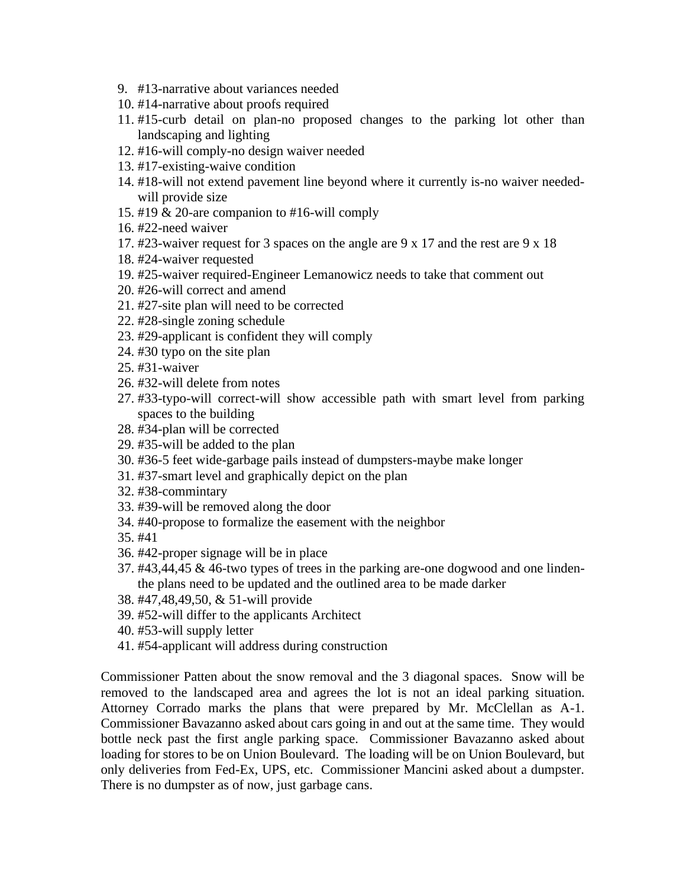- 9. #13-narrative about variances needed
- 10. #14-narrative about proofs required
- 11. #15-curb detail on plan-no proposed changes to the parking lot other than landscaping and lighting
- 12. #16-will comply-no design waiver needed
- 13. #17-existing-waive condition
- 14. #18-will not extend pavement line beyond where it currently is-no waiver neededwill provide size
- 15. #19 & 20-are companion to #16-will comply
- 16. #22-need waiver
- 17. #23-waiver request for 3 spaces on the angle are 9 x 17 and the rest are 9 x 18
- 18. #24-waiver requested
- 19. #25-waiver required-Engineer Lemanowicz needs to take that comment out
- 20. #26-will correct and amend
- 21. #27-site plan will need to be corrected
- 22. #28-single zoning schedule
- 23. #29-applicant is confident they will comply
- 24. #30 typo on the site plan
- 25. #31-waiver
- 26. #32-will delete from notes
- 27. #33-typo-will correct-will show accessible path with smart level from parking spaces to the building
- 28. #34-plan will be corrected
- 29. #35-will be added to the plan
- 30. #36-5 feet wide-garbage pails instead of dumpsters-maybe make longer
- 31. #37-smart level and graphically depict on the plan
- 32. #38-commintary
- 33. #39-will be removed along the door
- 34. #40-propose to formalize the easement with the neighbor
- 35. #41
- 36. #42-proper signage will be in place
- 37. #43,44,45 & 46-two types of trees in the parking are-one dogwood and one lindenthe plans need to be updated and the outlined area to be made darker
- 38. #47,48,49,50, & 51-will provide
- 39. #52-will differ to the applicants Architect
- 40. #53-will supply letter
- 41. #54-applicant will address during construction

Commissioner Patten about the snow removal and the 3 diagonal spaces. Snow will be removed to the landscaped area and agrees the lot is not an ideal parking situation. Attorney Corrado marks the plans that were prepared by Mr. McClellan as A-1. Commissioner Bavazanno asked about cars going in and out at the same time. They would bottle neck past the first angle parking space. Commissioner Bavazanno asked about loading for stores to be on Union Boulevard. The loading will be on Union Boulevard, but only deliveries from Fed-Ex, UPS, etc. Commissioner Mancini asked about a dumpster. There is no dumpster as of now, just garbage cans.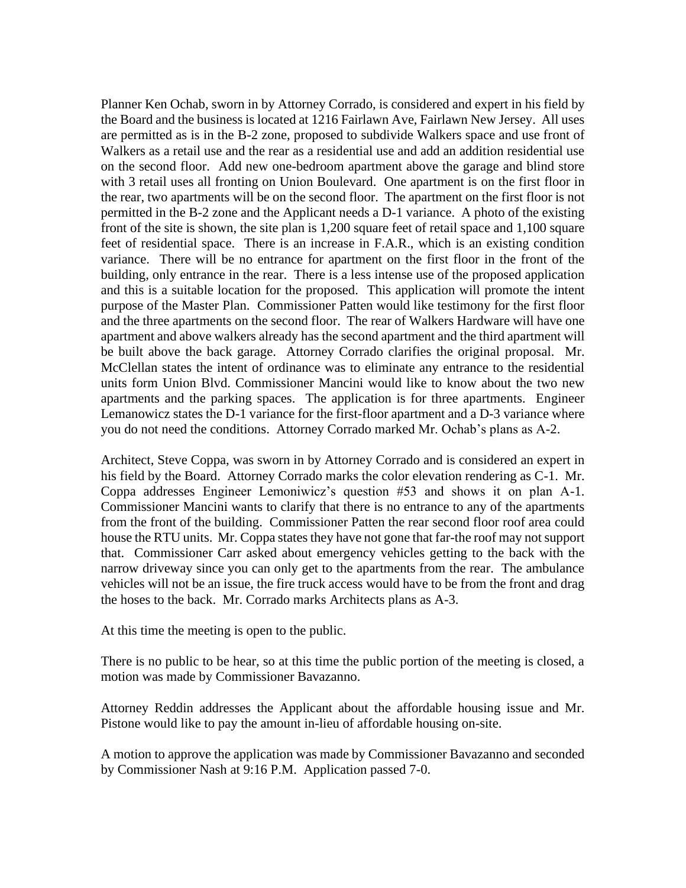Planner Ken Ochab, sworn in by Attorney Corrado, is considered and expert in his field by the Board and the business is located at 1216 Fairlawn Ave, Fairlawn New Jersey. All uses are permitted as is in the B-2 zone, proposed to subdivide Walkers space and use front of Walkers as a retail use and the rear as a residential use and add an addition residential use on the second floor. Add new one-bedroom apartment above the garage and blind store with 3 retail uses all fronting on Union Boulevard. One apartment is on the first floor in the rear, two apartments will be on the second floor. The apartment on the first floor is not permitted in the B-2 zone and the Applicant needs a D-1 variance. A photo of the existing front of the site is shown, the site plan is 1,200 square feet of retail space and 1,100 square feet of residential space. There is an increase in F.A.R., which is an existing condition variance. There will be no entrance for apartment on the first floor in the front of the building, only entrance in the rear. There is a less intense use of the proposed application and this is a suitable location for the proposed. This application will promote the intent purpose of the Master Plan. Commissioner Patten would like testimony for the first floor and the three apartments on the second floor. The rear of Walkers Hardware will have one apartment and above walkers already has the second apartment and the third apartment will be built above the back garage. Attorney Corrado clarifies the original proposal. Mr. McClellan states the intent of ordinance was to eliminate any entrance to the residential units form Union Blvd. Commissioner Mancini would like to know about the two new apartments and the parking spaces. The application is for three apartments. Engineer Lemanowicz states the D-1 variance for the first-floor apartment and a D-3 variance where you do not need the conditions. Attorney Corrado marked Mr. Ochab's plans as A-2.

Architect, Steve Coppa, was sworn in by Attorney Corrado and is considered an expert in his field by the Board. Attorney Corrado marks the color elevation rendering as C-1. Mr. Coppa addresses Engineer Lemoniwicz's question #53 and shows it on plan A-1. Commissioner Mancini wants to clarify that there is no entrance to any of the apartments from the front of the building. Commissioner Patten the rear second floor roof area could house the RTU units. Mr. Coppa states they have not gone that far-the roof may not support that. Commissioner Carr asked about emergency vehicles getting to the back with the narrow driveway since you can only get to the apartments from the rear. The ambulance vehicles will not be an issue, the fire truck access would have to be from the front and drag the hoses to the back. Mr. Corrado marks Architects plans as A-3.

At this time the meeting is open to the public.

There is no public to be hear, so at this time the public portion of the meeting is closed, a motion was made by Commissioner Bavazanno.

Attorney Reddin addresses the Applicant about the affordable housing issue and Mr. Pistone would like to pay the amount in-lieu of affordable housing on-site.

A motion to approve the application was made by Commissioner Bavazanno and seconded by Commissioner Nash at 9:16 P.M. Application passed 7-0.